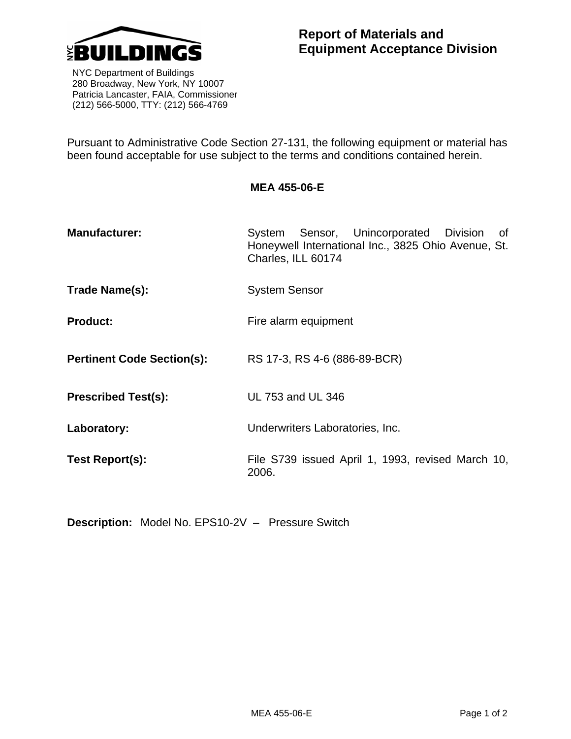

**Report of Materials and Equipment Acceptance Division**

 NYC Department of Buildings 280 Broadway, New York, NY 10007 Patricia Lancaster, FAIA, Commissioner (212) 566-5000, TTY: (212) 566-4769

Pursuant to Administrative Code Section 27-131, the following equipment or material has been found acceptable for use subject to the terms and conditions contained herein.

## **MEA 455-06-E**

- **Manufacturer:** System Sensor, Unincorporated Division of Honeywell International Inc., 3825 Ohio Avenue, St. Charles, ILL 60174
- **Trade Name(s):** System Sensor
- **Product:** Fire alarm equipment
- **Pertinent Code Section(s):** RS 17-3, RS 4-6 (886-89-BCR)
- **Prescribed Test(s):** UL 753 and UL 346
- **Laboratory:** Underwriters Laboratories, Inc.
- **Test Report(s):** File S739 issued April 1, 1993, revised March 10, 2006.

**Description:** Model No. EPS10-2V – Pressure Switch